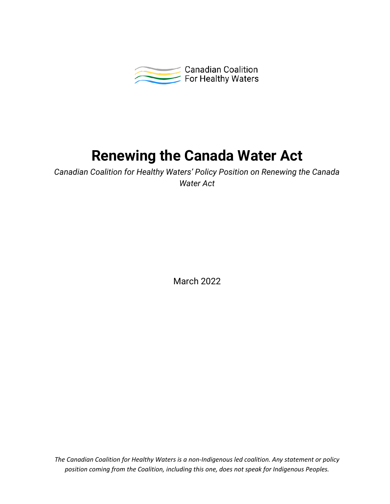

# **Renewing the Canada Water Act**

*Canadian Coalition for Healthy Waters' Policy Position on Renewing the Canada Water Act*

March 2022

*The Canadian Coalition for Healthy Waters is a non-Indigenous led coalition. Any statement or policy position coming from the Coalition, including this one, does not speak for Indigenous Peoples.*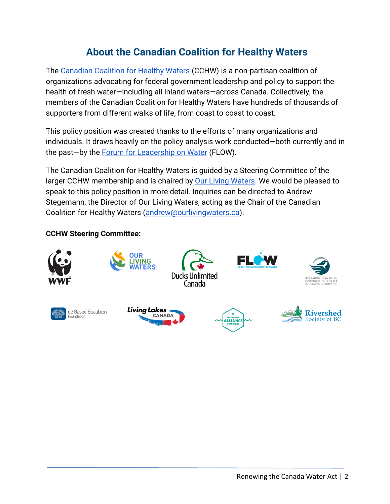# **About the Canadian Coalition for Healthy Waters**

The [Canadian Coalition for Healthy Waters](https://healthywaterscoalition.ca/) (CCHW) is a non-partisan coalition of organizations advocating for federal government leadership and policy to support the health of fresh water—including all inland waters—across Canada. Collectively, the members of the Canadian Coalition for Healthy Waters have hundreds of thousands of supporters from different walks of life, from coast to coast to coast.

This policy position was created thanks to the efforts of many organizations and individuals. It draws heavily on the policy analysis work conducted—both currently and in the past—by the [Forum for Leadership on Water](https://www.flowcanada.org/our-work) (FLOW).

The Canadian Coalition for Healthy Waters is guided by a Steering Committee of the larger CCHW membership and is chaired b[y](https://www.ourlivingwaters.ca/) **Our Living Waters**. We would be pleased to speak to this policy position in more detail. Inquiries can be directed to Andrew Stegemann, the Director of Our Living Waters, acting as the Chair of the Canadian Coalition for Healthy Waters [\(andrew@ourlivingwaters.ca\)](mailto:andrew@ourlivingwaters.ca).

### **CCHW Steering Committee:**

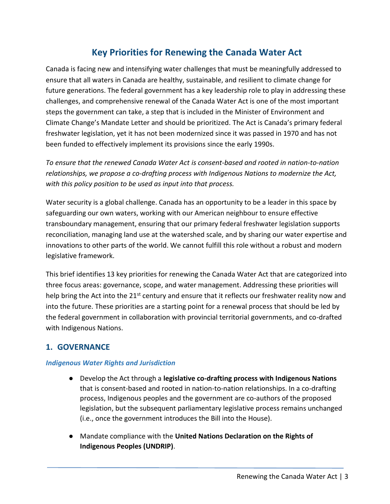# **Key Priorities for Renewing the Canada Water Act**

Canada is facing new and intensifying water challenges that must be meaningfully addressed to ensure that all waters in Canada are healthy, sustainable, and resilient to climate change for future generations. The federal government has a key leadership role to play in addressing these challenges, and comprehensive renewal of the Canada Water Act is one of the most important steps the government can take, a step that is included in the Minister of Environment and Climate Change's Mandate Letter and should be prioritized. The Act is Canada's primary federal freshwater legislation, yet it has not been modernized since it was passed in 1970 and has not been funded to effectively implement its provisions since the early 1990s.

*To ensure that the renewed Canada Water Act is consent-based and rooted in nation-to-nation relationships, we propose a co-drafting process with Indigenous Nations to modernize the Act, with this policy position to be used as input into that process.*

Water security is a global challenge. Canada has an opportunity to be a leader in this space by safeguarding our own waters, working with our American neighbour to ensure effective transboundary management, ensuring that our primary federal freshwater legislation supports reconciliation, managing land use at the watershed scale, and by sharing our water expertise and innovations to other parts of the world. We cannot fulfill this role without a robust and modern legislative framework.

This brief identifies 13 key priorities for renewing the Canada Water Act that are categorized into three focus areas: governance, scope, and water management. Addressing these priorities will help bring the Act into the  $21<sup>st</sup>$  century and ensure that it reflects our freshwater reality now and into the future. These priorities are a starting point for a renewal process that should be led by the federal government in collaboration with provincial territorial governments, and co-drafted with Indigenous Nations.

## **1. GOVERNANCE**

#### *Indigenous Water Rights and Jurisdiction*

- Develop the Act through a **legislative co-drafting process with Indigenous Nations** that is consent-based and rooted in nation-to-nation relationships. In a co-drafting process, Indigenous peoples and the government are co-authors of the proposed legislation, but the subsequent parliamentary legislative process remains unchanged (i.e., once the government introduces the Bill into the House).
- Mandate compliance with the **United Nations Declaration on the Rights of Indigenous Peoples (UNDRIP)**.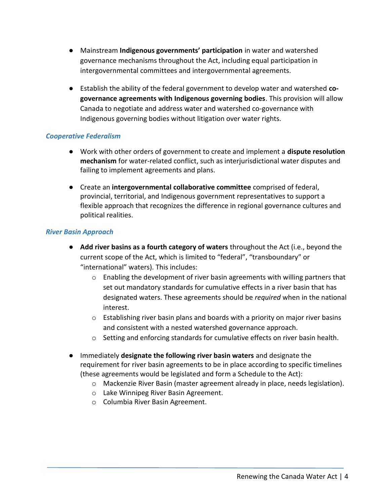- Mainstream **Indigenous governments' participation** in water and watershed governance mechanisms throughout the Act, including equal participation in intergovernmental committees and intergovernmental agreements.
- Establish the ability of the federal government to develop water and watershed **cogovernance agreements with Indigenous governing bodies**. This provision will allow Canada to negotiate and address water and watershed co-governance with Indigenous governing bodies without litigation over water rights.

#### *Cooperative Federalism*

- Work with other orders of government to create and implement a **dispute resolution mechanism** for water-related conflict, such as interjurisdictional water disputes and failing to implement agreements and plans.
- Create an **intergovernmental collaborative committee** comprised of federal, provincial, territorial, and Indigenous government representatives to support a flexible approach that recognizes the difference in regional governance cultures and political realities.

#### *River Basin Approach*

- **Add river basins as a fourth category of waters** throughout the Act (i.e., beyond the current scope of the Act, which is limited to "federal", "transboundary" or "international" waters). This includes:
	- $\circ$  Enabling the development of river basin agreements with willing partners that set out mandatory standards for cumulative effects in a river basin that has designated waters. These agreements should be *required* when in the national interest.
	- $\circ$  Establishing river basin plans and boards with a priority on major river basins and consistent with a nested watershed governance approach.
	- $\circ$  Setting and enforcing standards for cumulative effects on river basin health.
- Immediately **designate the following river basin waters** and designate the requirement for river basin agreements to be in place according to specific timelines (these agreements would be legislated and form a Schedule to the Act):
	- o Mackenzie River Basin (master agreement already in place, needs legislation).
	- o Lake Winnipeg River Basin Agreement.
	- o Columbia River Basin Agreement.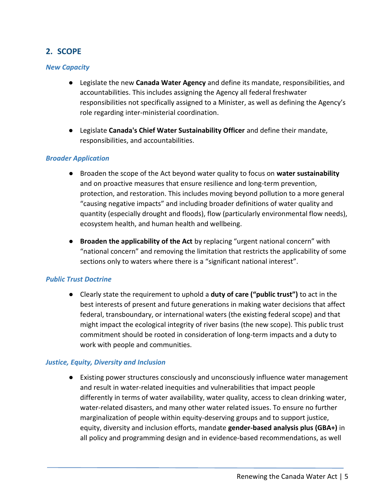### **2. SCOPE**

#### *New Capacity*

- Legislate the new **Canada Water Agency** and define its mandate, responsibilities, and accountabilities. This includes assigning the Agency all federal freshwater responsibilities not specifically assigned to a Minister, as well as defining the Agency's role regarding inter-ministerial coordination.
- Legislate **Canada's Chief Water Sustainability Officer** and define their mandate, responsibilities, and accountabilities.

#### *Broader Application*

- Broaden the scope of the Act beyond water quality to focus on **water sustainability** and on proactive measures that ensure resilience and long-term prevention, protection, and restoration. This includes moving beyond pollution to a more general "causing negative impacts" and including broader definitions of water quality and quantity (especially drought and floods), flow (particularly environmental flow needs), ecosystem health, and human health and wellbeing.
- **Broaden the applicability of the Act** by replacing "urgent national concern" with "national concern" and removing the limitation that restricts the applicability of some sections only to waters where there is a "significant national interest".

#### *Public Trust Doctrine*

● Clearly state the requirement to uphold a **duty of care ("public trust")** to act in the best interests of present and future generations in making water decisions that affect federal, transboundary, or international waters (the existing federal scope) and that might impact the ecological integrity of river basins (the new scope). This public trust commitment should be rooted in consideration of long-term impacts and a duty to work with people and communities.

#### *Justice, Equity, Diversity and Inclusion*

● Existing power structures consciously and unconsciously influence water management and result in water-related inequities and vulnerabilities that impact people differently in terms of water availability, water quality, access to clean drinking water, water-related disasters, and many other water related issues. To ensure no further marginalization of people within equity-deserving groups and to support justice, equity, diversity and inclusion efforts, mandate **gender-based analysis plus (GBA+)** in all policy and programming design and in evidence-based recommendations, as well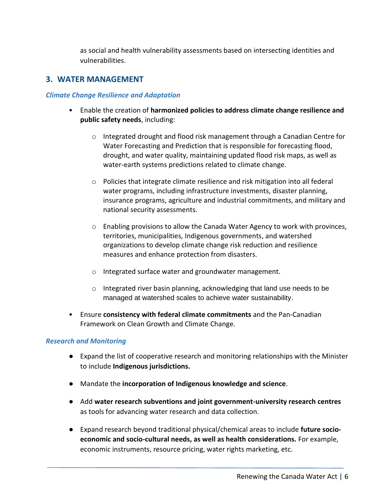as social and health vulnerability assessments based on intersecting identities and vulnerabilities.

#### **3. WATER MANAGEMENT**

#### *Climate Change Resilience and Adaptation*

- Enable the creation of **harmonized policies to address climate change resilience and public safety needs**, including:
	- o Integrated drought and flood risk management through a Canadian Centre for Water Forecasting and Prediction that is responsible for forecasting flood, drought, and water quality, maintaining updated flood risk maps, as well as water-earth systems predictions related to climate change.
	- o Policies that integrate climate resilience and risk mitigation into all federal water programs, including infrastructure investments, disaster planning, insurance programs, agriculture and industrial commitments, and military and national security assessments.
	- $\circ$  Enabling provisions to allow the Canada Water Agency to work with provinces, territories, municipalities, Indigenous governments, and watershed organizations to develop climate change risk reduction and resilience measures and enhance protection from disasters.
	- o Integrated surface water and groundwater management.
	- o Integrated river basin planning, acknowledging that land use needs to be managed at watershed scales to achieve water sustainability.
- Ensure **consistency with federal climate commitments** and the Pan-Canadian Framework on Clean Growth and Climate Change.

#### *Research and Monitoring*

- Expand the list of cooperative research and monitoring relationships with the Minister to include **Indigenous jurisdictions.**
- Mandate the **incorporation of Indigenous knowledge and science**.
- Add **water research subventions and joint government-university research centres**  as tools for advancing water research and data collection.
- Expand research beyond traditional physical/chemical areas to include **future socioeconomic and socio-cultural needs, as well as health considerations.** For example, economic instruments, resource pricing, water rights marketing, etc.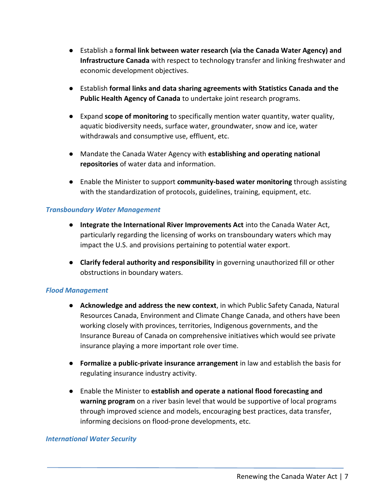- Establish a **formal link between water research (via the Canada Water Agency) and Infrastructure Canada** with respect to technology transfer and linking freshwater and economic development objectives.
- Establish **formal links and data sharing agreements with Statistics Canada and the Public Health Agency of Canada** to undertake joint research programs.
- Expand **scope of monitoring** to specifically mention water quantity, water quality, aquatic biodiversity needs, surface water, groundwater, snow and ice, water withdrawals and consumptive use, effluent, etc.
- Mandate the Canada Water Agency with **establishing and operating national repositories** of water data and information.
- Enable the Minister to support **community-based water monitoring** through assisting with the standardization of protocols, guidelines, training, equipment, etc.

#### *Transboundary Water Management*

- **Integrate the International River Improvements Act** into the Canada Water Act, particularly regarding the licensing of works on transboundary waters which may impact the U.S. and provisions pertaining to potential water export.
- **Clarify federal authority and responsibility** in governing unauthorized fill or other obstructions in boundary waters.

#### *Flood Management*

- **Acknowledge and address the new context**, in which Public Safety Canada, Natural Resources Canada, Environment and Climate Change Canada, and others have been working closely with provinces, territories, Indigenous governments, and the Insurance Bureau of Canada on comprehensive initiatives which would see private insurance playing a more important role over time.
- **Formalize a public-private insurance arrangement** in law and establish the basis for regulating insurance industry activity.
- Enable the Minister to **establish and operate a national flood forecasting and warning program** on a river basin level that would be supportive of local programs through improved science and models, encouraging best practices, data transfer, informing decisions on flood-prone developments, etc.

#### *International Water Security*